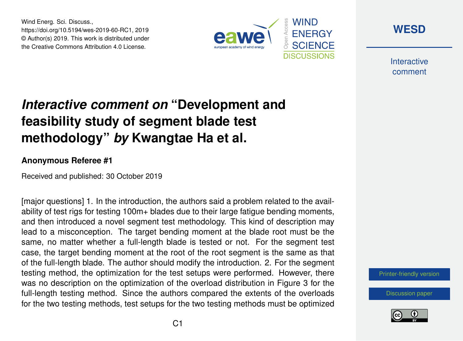Wind Energ. Sci. Discuss., https://doi.org/10.5194/wes-2019-60-RC1, 2019 © Author(s) 2019. This work is distributed under the Creative Commons Attribution 4.0 License.





**Interactive** comment

## *Interactive comment on* **"Development and feasibility study of segment blade test methodology"** *by* **Kwangtae Ha et al.**

## **Anonymous Referee #1**

Received and published: 30 October 2019

[major questions] 1. In the introduction, the authors said a problem related to the availability of test rigs for testing 100m+ blades due to their large fatigue bending moments, and then introduced a novel segment test methodology. This kind of description may lead to a misconception. The target bending moment at the blade root must be the same, no matter whether a full-length blade is tested or not. For the segment test case, the target bending moment at the root of the root segment is the same as that of the full-length blade. The author should modify the introduction. 2. For the segment testing method, the optimization for the test setups were performed. However, there was no description on the optimization of the overload distribution in Figure 3 for the full-length testing method. Since the authors compared the extents of the overloads for the two testing methods, test setups for the two testing methods must be optimized

[Printer-friendly version](https://www.wind-energ-sci-discuss.net/wes-2019-60/wes-2019-60-RC1-print.pdf)

[Discussion paper](https://www.wind-energ-sci-discuss.net/wes-2019-60)